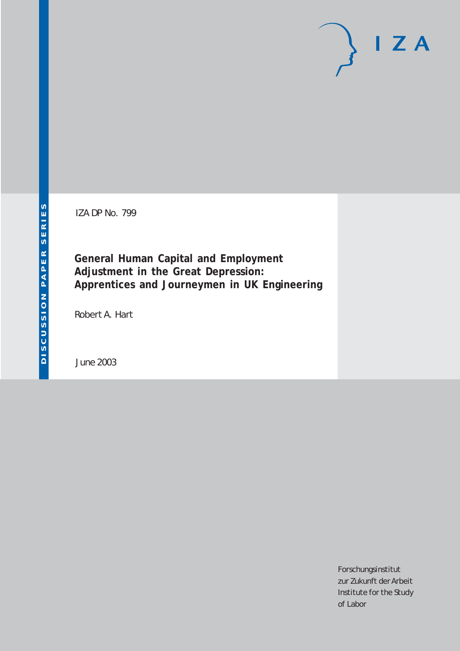IZA DP No. 799

**General Human Capital and Employment Adjustment in the Great Depression: Apprentices and Journeymen in UK Engineering**

Robert A. Hart

June 2003

Forschungsinstitut zur Zukunft der Arbeit Institute for the Study of Labor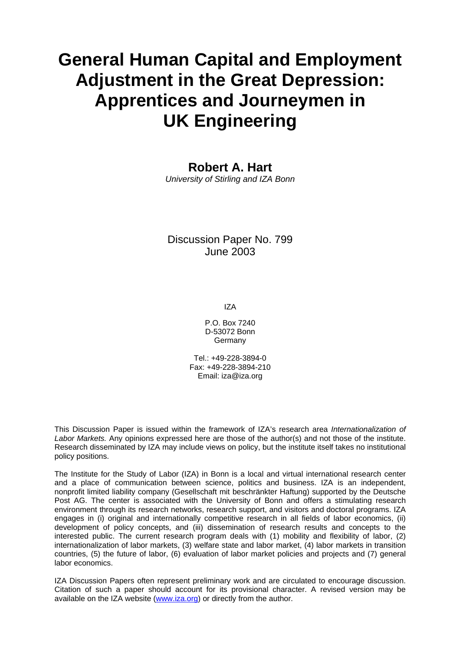# **General Human Capital and Employment Adjustment in the Great Depression: Apprentices and Journeymen in UK Engineering**

### **Robert A. Hart**

*University of Stirling and IZA Bonn* 

### Discussion Paper No. 799 June 2003

IZA

P.O. Box 7240 D-53072 Bonn Germany

Tel.: +49-228-3894-0 Fax: +49-228-3894-210 Email: [iza@iza.org](mailto:iza@iza.org)

This Discussion Paper is issued within the framework of IZA's research area *Internationalization of Labor Markets.* Any opinions expressed here are those of the author(s) and not those of the institute. Research disseminated by IZA may include views on policy, but the institute itself takes no institutional policy positions.

The Institute for the Study of Labor (IZA) in Bonn is a local and virtual international research center and a place of communication between science, politics and business. IZA is an independent, nonprofit limited liability company (Gesellschaft mit beschränkter Haftung) supported by the Deutsche Post AG. The center is associated with the University of Bonn and offers a stimulating research environment through its research networks, research support, and visitors and doctoral programs. IZA engages in (i) original and internationally competitive research in all fields of labor economics, (ii) development of policy concepts, and (iii) dissemination of research results and concepts to the interested public. The current research program deals with (1) mobility and flexibility of labor, (2) internationalization of labor markets, (3) welfare state and labor market, (4) labor markets in transition countries, (5) the future of labor, (6) evaluation of labor market policies and projects and (7) general labor economics.

IZA Discussion Papers often represent preliminary work and are circulated to encourage discussion. Citation of such a paper should account for its provisional character. A revised version may be available on the IZA website ([www.iza.org](http://www.iza.org/)) or directly from the author.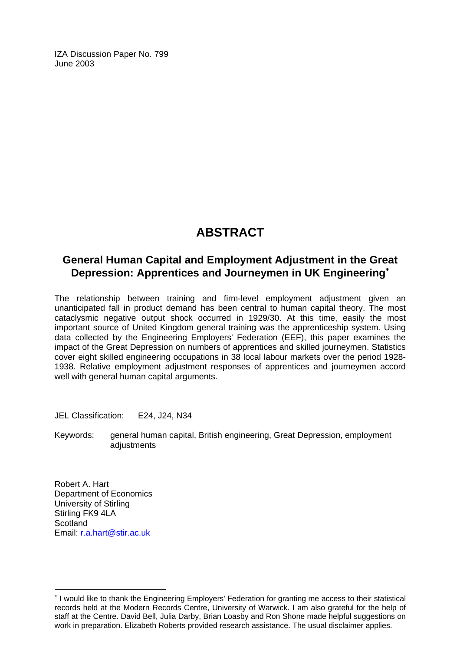IZA Discussion Paper No. 799 June 2003

## **ABSTRACT**

### **General Human Capital and Employment Adjustment in the Great Depression: Apprentices and Journeymen in UK Engineering**[∗](#page-2-0)

The relationship between training and firm-level employment adjustment given an unanticipated fall in product demand has been central to human capital theory. The most cataclysmic negative output shock occurred in 1929/30. At this time, easily the most important source of United Kingdom general training was the apprenticeship system. Using data collected by the Engineering Employers' Federation (EEF), this paper examines the impact of the Great Depression on numbers of apprentices and skilled journeymen. Statistics cover eight skilled engineering occupations in 38 local labour markets over the period 1928- 1938. Relative employment adjustment responses of apprentices and journeymen accord well with general human capital arguments.

JEL Classification: E24, J24, N34

Keywords: general human capital, British engineering, Great Depression, employment adiustments

Robert A. Hart Department of Economics University of Stirling Stirling FK9 4LA **Scotland** Email: [r.a.hart@stir.ac.uk](mailto:r.a.hart@stir.ac.uk)

 $\overline{a}$ 

<span id="page-2-0"></span><sup>∗</sup> I would like to thank the Engineering Employers' Federation for granting me access to their statistical records held at the Modern Records Centre, University of Warwick. I am also grateful for the help of staff at the Centre. David Bell, Julia Darby, Brian Loasby and Ron Shone made helpful suggestions on work in preparation. Elizabeth Roberts provided research assistance. The usual disclaimer applies.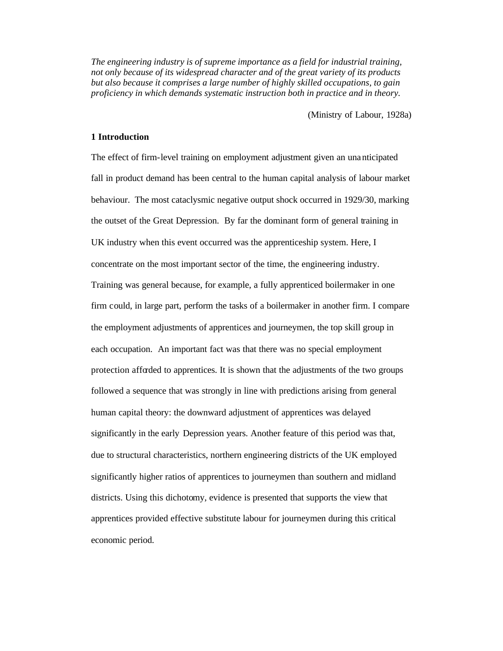*The engineering industry is of supreme importance as a field for industrial training, not only because of its widespread character and of the great variety of its products but also because it comprises a large number of highly skilled occupations, to gain proficiency in which demands systematic instruction both in practice and in theory.* 

(Ministry of Labour, 1928a)

### **1 Introduction**

The effect of firm-level training on employment adjustment given an unanticipated fall in product demand has been central to the human capital analysis of labour market behaviour. The most cataclysmic negative output shock occurred in 1929/30, marking the outset of the Great Depression. By far the dominant form of general training in UK industry when this event occurred was the apprenticeship system. Here, I concentrate on the most important sector of the time, the engineering industry. Training was general because, for example, a fully apprenticed boilermaker in one firm could, in large part, perform the tasks of a boilermaker in another firm. I compare the employment adjustments of apprentices and journeymen, the top skill group in each occupation. An important fact was that there was no special employment protection afforded to apprentices. It is shown that the adjustments of the two groups followed a sequence that was strongly in line with predictions arising from general human capital theory: the downward adjustment of apprentices was delayed significantly in the early Depression years. Another feature of this period was that, due to structural characteristics, northern engineering districts of the UK employed significantly higher ratios of apprentices to journeymen than southern and midland districts. Using this dichotomy, evidence is presented that supports the view that apprentices provided effective substitute labour for journeymen during this critical economic period.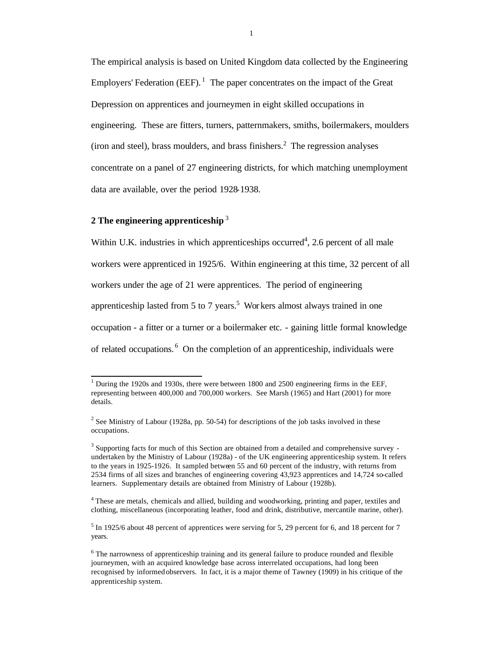The empirical analysis is based on United Kingdom data collected by the Engineering Employers' Federation (EEF).<sup>1</sup> The paper concentrates on the impact of the Great Depression on apprentices and journeymen in eight skilled occupations in engineering. These are fitters, turners, patternmakers, smiths, boilermakers, moulders  $($ iron and steel $)$ , brass moulders, and brass finishers.<sup>2</sup> The regression analyses concentrate on a panel of 27 engineering districts, for which matching unemployment data are available, over the period 1928-1938.

### **2 The engineering apprenticeship** <sup>3</sup>

l

Within U.K. industries in which apprenticeships occurred<sup>4</sup>, 2.6 percent of all male workers were apprenticed in 1925/6. Within engineering at this time, 32 percent of all workers under the age of 21 were apprentices. The period of engineering apprenticeship lasted from 5 to 7 years.<sup>5</sup> Wor kers almost always trained in one occupation - a fitter or a turner or a boilermaker etc. - gaining little formal knowledge of related occupations. <sup>6</sup> On the completion of an apprenticeship, individuals were

 $<sup>1</sup>$  During the 1920s and 1930s, there were between 1800 and 2500 engineering firms in the EEF,</sup> representing between 400,000 and 700,000 workers. See Marsh (1965) and Hart (2001) for more details.

<sup>&</sup>lt;sup>2</sup> See Ministry of Labour (1928a, pp. 50-54) for descriptions of the job tasks involved in these occupations.

 $3$  Supporting facts for much of this Section are obtained from a detailed and comprehensive survey undertaken by the Ministry of Labour (1928a) - of the UK engineering apprenticeship system. It refers to the years in 1925-1926. It sampled between 55 and 60 percent of the industry, with returns from 2534 firms of all sizes and branches of engineering covering 43,923 apprentices and 14,724 so-called learners. Supplementary details are obtained from Ministry of Labour (1928b).

<sup>&</sup>lt;sup>4</sup> These are metals, chemicals and allied, building and woodworking, printing and paper, textiles and clothing, miscellaneous (incorporating leather, food and drink, distributive, mercantile marine, other).

 $<sup>5</sup>$  In 1925/6 about 48 percent of apprentices were serving for 5, 29 percent for 6, and 18 percent for 7</sup> years.

<sup>&</sup>lt;sup>6</sup> The narrowness of apprenticeship training and its general failure to produce rounded and flexible journeymen, with an acquired knowledge base across interrelated occupations, had long been recognised by informed observers. In fact, it is a major theme of Tawney (1909) in his critique of the apprenticeship system.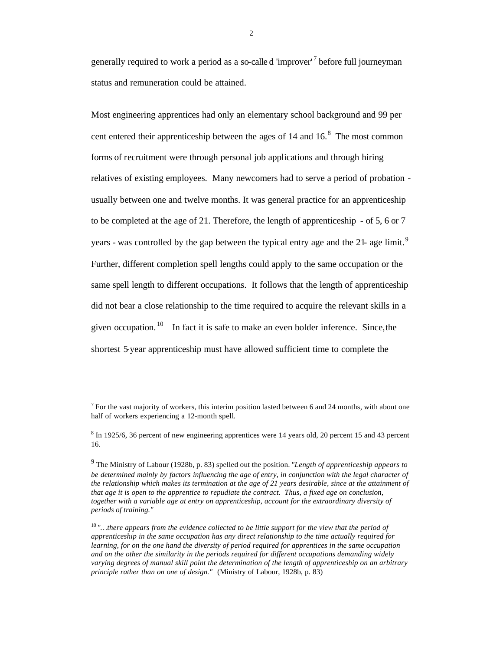generally required to work a period as a so-calle d 'improver'<sup>7</sup> before full journeyman status and remuneration could be attained.

Most engineering apprentices had only an elementary school background and 99 per cent entered their apprenticeship between the ages of  $14$  and  $16<sup>8</sup>$ . The most common forms of recruitment were through personal job applications and through hiring relatives of existing employees. Many newcomers had to serve a period of probation usually between one and twelve months. It was general practice for an apprenticeship to be completed at the age of 21. Therefore, the length of apprenticeship - of 5, 6 or 7 years - was controlled by the gap between the typical entry age and the 21- age limit.<sup>9</sup> Further, different completion spell lengths could apply to the same occupation or the same spell length to different occupations. It follows that the length of apprenticeship did not bear a close relationship to the time required to acquire the relevant skills in a given occupation.  $\frac{10}{10}$  In fact it is safe to make an even bolder inference. Since, the shortest 5-year apprenticeship must have allowed sufficient time to complete the

l

 $<sup>7</sup>$  For the vast majority of workers, this interim position lasted between 6 and 24 months, with about one</sup> half of workers experiencing a 12-month spell.

<sup>&</sup>lt;sup>8</sup> In 1925/6, 36 percent of new engineering apprentices were 14 years old, 20 percent 15 and 43 percent 16.

<sup>9</sup> The Ministry of Labour (1928b, p. 83) spelled out the position. *"Length of apprenticeship appears to be determined mainly by factors influencing the age of entry, in conjunction with the legal character of the relationship which makes its termination at the age of 21 years desirable, since at the attainment of that age it is open to the apprentice to repudiate the contract. Thus, a fixed age on conclusion, together with a variable age at entry on apprenticeship, account for the extraordinary diversity of periods of training."*

<sup>10</sup> *"…there appears from the evidence collected to be little support for the view that the period of apprenticeship in the same occupation has any direct relationship to the time actually required for learning, for on the one hand the diversity of period required for apprentices in the same occupation and on the other the similarity in the periods required for different occupations demanding widely varying degrees of manual skill point the determination of the length of apprenticeship on an arbitrary principle rather than on one of design."* (Ministry of Labour, 1928b, p. 83)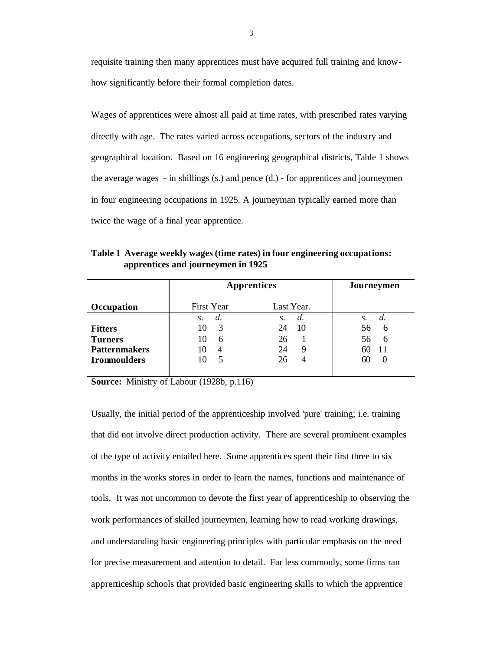requisite training then many apprentices must have acquired full training and knowhow significantly before their formal completion dates.

Wages of apprentices were almost all paid at time rates, with prescribed rates varying directly with age. The rates varied across occupations, sectors of the industry and geographical location. Based on 16 engineering geographical districts, Table 1 shows the average wages - in shillings (s.) and pence (d.) - for apprentices and journeymen in four engineering occupations in 1925. A journeyman typically earned more than twice the wage of a final year apprentice.

| Table 1 Average weekly wages (time rates) in four engineering occupations: |
|----------------------------------------------------------------------------|
| apprentices and journeymen in 1925                                         |

|                                                          | <b>Apprentices</b>             | Journeymen                       |                                             |
|----------------------------------------------------------|--------------------------------|----------------------------------|---------------------------------------------|
| Occupation                                               | First Year                     | Last Year.                       |                                             |
| <b>Fitters</b><br><b>Turners</b><br><b>Patternmakers</b> | S.<br>d.<br>3<br>10<br>10<br>6 | d.<br>S.<br>10<br>24<br>26<br>24 | $\mathcal{S}$ .<br>d.<br>56<br>6<br>56<br>6 |
| <b>Ironmoulders</b>                                      | $\overline{4}$<br>10<br>10     | 26                               | nu                                          |

**Source:** Ministry of Labour (1928b, p.116)

Usually, the initial period of the apprenticeship involved 'pure' training; i.e. training that did not involve direct production activity. There are several prominent examples of the type of activity entailed here. Some apprentices spent their first three to six months in the works stores in order to learn the names, functions and maintenance of tools. It was not uncommon to devote the first year of apprenticeship to observing the work performances of skilled journeymen, learning how to read working drawings, and understanding basic engineering principles with particular emphasis on the need for precise measurement and attention to detail. Far less commonly, some firms ran apprenticeship schools that provided basic engineering skills to which the apprentice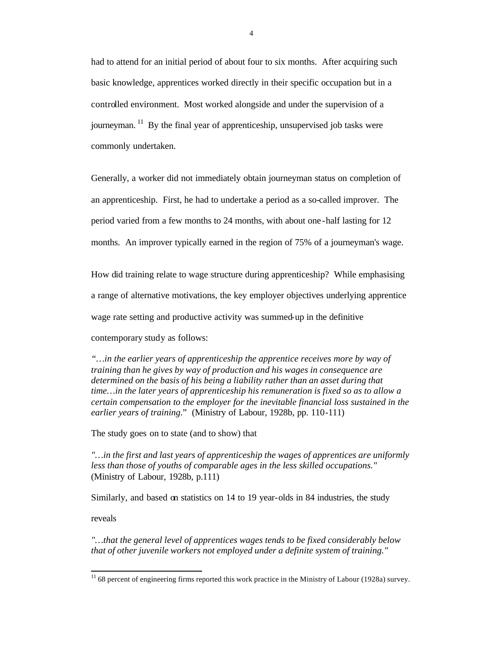had to attend for an initial period of about four to six months. After acquiring such basic knowledge, apprentices worked directly in their specific occupation but in a controlled environment. Most worked alongside and under the supervision of a journeyman. <sup>11</sup> By the final year of apprenticeship, unsupervised job tasks were commonly undertaken.

Generally, a worker did not immediately obtain journeyman status on completion of an apprenticeship. First, he had to undertake a period as a so-called improver. The period varied from a few months to 24 months, with about one -half lasting for 12 months. An improver typically earned in the region of 75% of a journeyman's wage.

How did training relate to wage structure during apprenticeship? While emphasising a range of alternative motivations, the key employer objectives underlying apprentice wage rate setting and productive activity was summed-up in the definitive

contemporary study as follows:

*"…in the earlier years of apprenticeship the apprentice receives more by way of training than he gives by way of production and his wages in consequence are determined on the basis of his being a liability rather than an asset during that time…in the later years of apprenticeship his remuneration is fixed so as to allow a certain compensation to the employer for the inevitable financial loss sustained in the earlier years of training*." (Ministry of Labour, 1928b, pp. 110-111)

The study goes on to state (and to show) that

*"…in the first and last years of apprenticeship the wages of apprentices are uniformly less than those of youths of comparable ages in the less skilled occupations."* (Ministry of Labour, 1928b, p.111)

Similarly, and based on statistics on 14 to 19 year-olds in 84 industries, the study

reveals

l

*"…that the general level of apprentices wages tends to be fixed considerably below that of other juvenile workers not employed under a definite system of training."*

 $11$  68 percent of engineering firms reported this work practice in the Ministry of Labour (1928a) survey.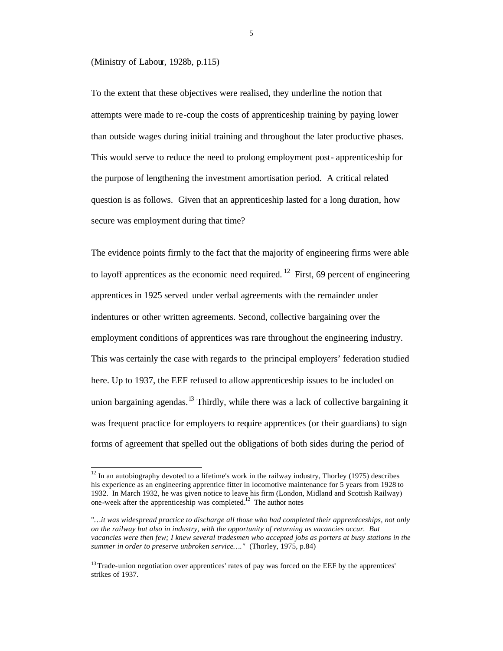#### (Ministry of Labour, 1928b, p.115)

l

To the extent that these objectives were realised, they underline the notion that attempts were made to re-coup the costs of apprenticeship training by paying lower than outside wages during initial training and throughout the later productive phases. This would serve to reduce the need to prolong employment post- apprenticeship for the purpose of lengthening the investment amortisation period. A critical related question is as follows. Given that an apprenticeship lasted for a long duration, how secure was employment during that time?

The evidence points firmly to the fact that the majority of engineering firms were able to layoff apprentices as the economic need required. <sup>12</sup> First, 69 percent of engineering apprentices in 1925 served under verbal agreements with the remainder under indentures or other written agreements. Second, collective bargaining over the employment conditions of apprentices was rare throughout the engineering industry. This was certainly the case with regards to the principal employers' federation studied here. Up to 1937, the EEF refused to allow apprenticeship issues to be included on union bargaining agendas.<sup>13</sup> Thirdly, while there was a lack of collective bargaining it was frequent practice for employers to require apprentices (or their guardians) to sign forms of agreement that spelled out the obligations of both sides during the period of

 $12 \text{ In an autobiography devoted to a lifetime's work in the railway industry, Thorley (1975) describes}$ his experience as an engineering apprentice fitter in locomotive maintenance for 5 years from 1928 to 1932. In March 1932, he was given notice to leave his firm (London, Midland and Scottish Railway) one-week after the apprenticeship was completed.<sup>12</sup> The author notes

<sup>&</sup>quot;*…it was widespread practice to discharge all those who had completed their apprenticeships, not only on the railway but also in industry, with the opportunity of returning as vacancies occur. But vacancies were then few; I knew several tradesmen who accepted jobs as porters at busy stations in the summer in order to preserve unbroken service…."* (Thorley, 1975, p.84)

<sup>&</sup>lt;sup>13</sup> Trade-union negotiation over apprentices' rates of pay was forced on the EEF by the apprentices' strikes of 1937.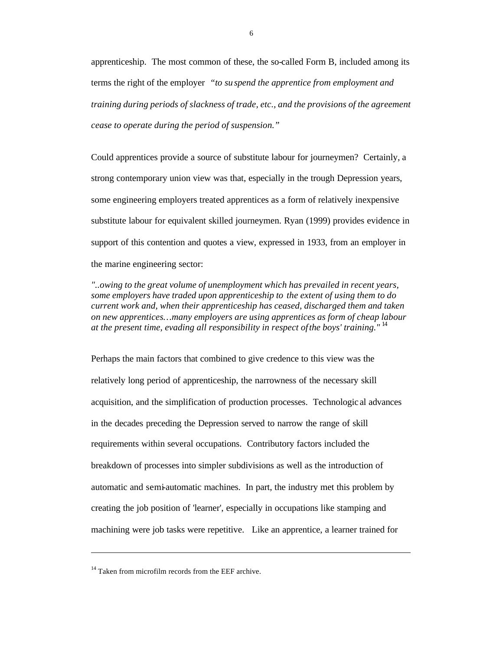apprenticeship. The most common of these, the so-called Form B, included among its terms the right of the employer *"to su spend the apprentice from employment and training during periods of slackness of trade, etc., and the provisions of the agreement cease to operate during the period of suspension."*

Could apprentices provide a source of substitute labour for journeymen? Certainly, a strong contemporary union view was that, especially in the trough Depression years, some engineering employers treated apprentices as a form of relatively inexpensive substitute labour for equivalent skilled journeymen. Ryan (1999) provides evidence in support of this contention and quotes a view, expressed in 1933, from an employer in the marine engineering sector:

*"..owing to the great volume of unemployment which has prevailed in recent years, some employers have traded upon apprenticeship to the extent of using them to do current work and, when their apprenticeship has ceased, discharged them and taken on new apprentices…many employers are using apprentices as form of cheap labour at the present time, evading all responsibility in respect of the boys' training."* <sup>14</sup>

Perhaps the main factors that combined to give credence to this view was the relatively long period of apprenticeship, the narrowness of the necessary skill acquisition, and the simplification of production processes. Technologic al advances in the decades preceding the Depression served to narrow the range of skill requirements within several occupations. Contributory factors included the breakdown of processes into simpler subdivisions as well as the introduction of automatic and semi-automatic machines. In part, the industry met this problem by creating the job position of 'learner', especially in occupations like stamping and machining were job tasks were repetitive. Like an apprentice, a learner trained for

l

 $14$  Taken from microfilm records from the EEF archive.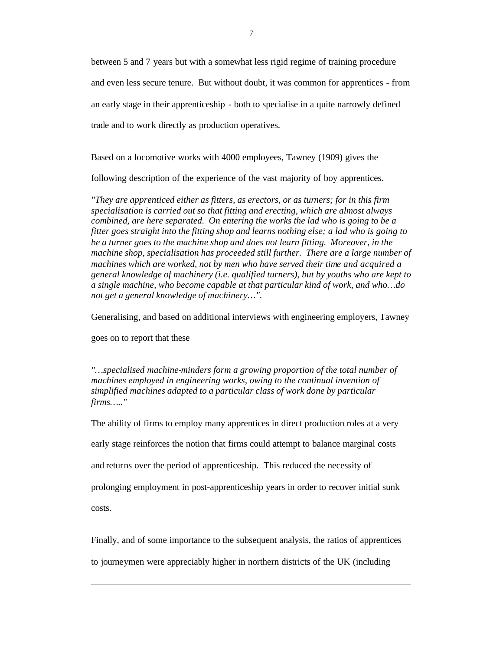between 5 and 7 years but with a somewhat less rigid regime of training procedure and even less secure tenure. But without doubt, it was common for apprentices - from an early stage in their apprenticeship - both to specialise in a quite narrowly defined trade and to work directly as production operatives.

Based on a locomotive works with 4000 employees, Tawney (1909) gives the

following description of the experience of the vast majority of boy apprentices.

*"They are apprenticed either as fitters, as erectors, or as turners; for in this firm specialisation is carried out so that fitting and erecting, which are almost always combined, are here separated. On entering the works the lad who is going to be a fitter goes straight into the fitting shop and learns nothing else; a lad who is going to be a turner goes to the machine shop and does not learn fitting. Moreover, in the machine shop, specialisation has proceeded still further. There are a large number of machines which are worked, not by men who have served their time and acquired a general knowledge of machinery (i.e. qualified turners), but by youths who are kept to a single machine, who become capable at that particular kind of work, and who…do not get a general knowledge of machinery…".* 

Generalising, and based on additional interviews with engineering employers, Tawney

goes on to report that these

l

*"…specialised machine-minders form a growing proportion of the total number of machines employed in engineering works, owing to the continual invention of simplified machines adapted to a particular class of work done by particular firms….."*

The ability of firms to employ many apprentices in direct production roles at a very early stage reinforces the notion that firms could attempt to balance marginal costs and returns over the period of apprenticeship. This reduced the necessity of prolonging employment in post-apprenticeship years in order to recover initial sunk costs.

Finally, and of some importance to the subsequent analysis, the ratios of apprentices

to journeymen were appreciably higher in northern districts of the UK (including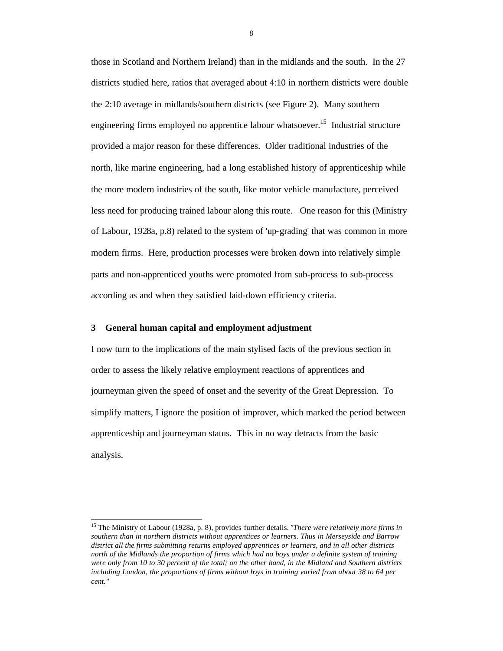those in Scotland and Northern Ireland) than in the midlands and the south. In the 27 districts studied here, ratios that averaged about 4:10 in northern districts were double the 2:10 average in midlands/southern districts (see Figure 2). Many southern engineering firms employed no apprentice labour whatsoever.<sup>15</sup> Industrial structure provided a major reason for these differences. Older traditional industries of the north, like marine engineering, had a long established history of apprenticeship while the more modern industries of the south, like motor vehicle manufacture, perceived less need for producing trained labour along this route. One reason for this (Ministry of Labour, 1928a, p.8) related to the system of 'up-grading' that was common in more modern firms. Here, production processes were broken down into relatively simple parts and non-apprenticed youths were promoted from sub-process to sub-process according as and when they satisfied laid-down efficiency criteria.

### **3 General human capital and employment adjustment**

l

I now turn to the implications of the main stylised facts of the previous section in order to assess the likely relative employment reactions of apprentices and journeyman given the speed of onset and the severity of the Great Depression. To simplify matters, I ignore the position of improver, which marked the period between apprenticeship and journeyman status. This in no way detracts from the basic analysis.

<sup>15</sup> The Ministry of Labour (1928a, p. 8), provides further details. *"There were relatively more firms in southern than in northern districts without apprentices or learners. Thus in Merseyside and Barrow district all the firms submitting returns employed apprentices or learners, and in all other districts north of the Midlands the proportion of firms which had no boys under a definite system of training were only from 10 to 30 percent of the total; on the other hand, in the Midland and Southern districts including London, the proportions of firms without boys in training varied from about 38 to 64 per cent."*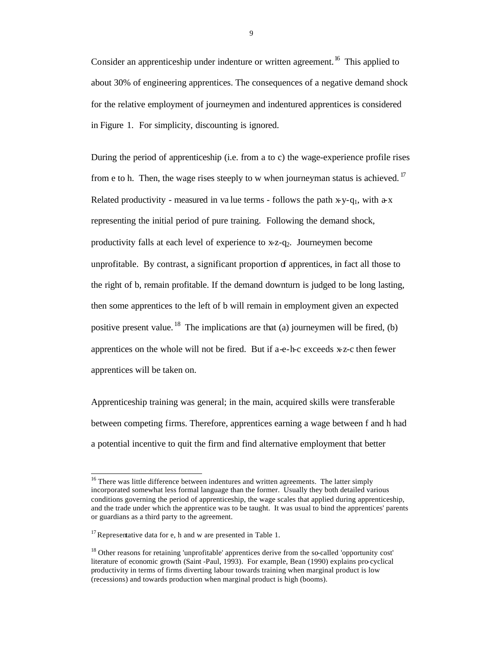Consider an apprenticeship under indenture or written agreement.<sup>16</sup> This applied to about 30% of engineering apprentices. The consequences of a negative demand shock for the relative employment of journeymen and indentured apprentices is considered in Figure 1. For simplicity, discounting is ignored.

During the period of apprenticeship (i.e. from a to c) the wage-experience profile rises from e to h. Then, the wage rises steeply to w when journeyman status is achieved.  $17$ Related productivity - measured in value terms - follows the path  $x-y-q_1$ , with  $a-x$ representing the initial period of pure training. Following the demand shock, productivity falls at each level of experience to  $x-z-q_2$ . Journeymen become unprofitable. By contrast, a significant proportion  $\sigma$  apprentices, in fact all those to the right of b, remain profitable. If the demand downturn is judged to be long lasting, then some apprentices to the left of b will remain in employment given an expected positive present value. <sup>18</sup> The implications are that (a) journeymen will be fired, (b) apprentices on the whole will not be fired. But if a-e-h-c exceeds x-z-c then fewer apprentices will be taken on.

Apprenticeship training was general; in the main, acquired skills were transferable between competing firms. Therefore, apprentices earning a wage between f and h had a potential incentive to quit the firm and find alternative employment that better

l

<sup>&</sup>lt;sup>16</sup> There was little difference between indentures and written agreements. The latter simply incorporated somewhat less formal language than the former. Usually they both detailed various conditions governing the period of apprenticeship, the wage scales that applied during apprenticeship, and the trade under which the apprentice was to be taught. It was usual to bind the apprentices' parents or guardians as a third party to the agreement.

 $17$  Representative data for e, h and w are presented in Table 1.

<sup>&</sup>lt;sup>18</sup> Other reasons for retaining 'unprofitable' apprentices derive from the so-called 'opportunity cost' literature of economic growth (Saint -Paul, 1993). For example, Bean (1990) explains pro-cyclical productivity in terms of firms diverting labour towards training when marginal product is low (recessions) and towards production when marginal product is high (booms).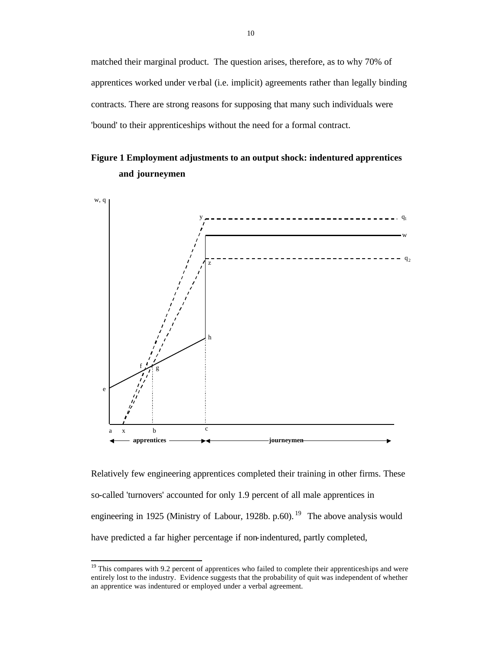matched their marginal product. The question arises, therefore, as to why 70% of apprentices worked under ve rbal (i.e. implicit) agreements rather than legally binding contracts. There are strong reasons for supposing that many such individuals were 'bound' to their apprenticeships without the need for a formal contract.

### **Figure 1 Employment adjustments to an output shock: indentured apprentices and journeymen**



Relatively few engineering apprentices completed their training in other firms. These so-called 'turnovers' accounted for only 1.9 percent of all male apprentices in engineering in 1925 (Ministry of Labour, 1928b. p.60). <sup>19</sup> The above analysis would have predicted a far higher percentage if non-indentured, partly completed,

l

 $19$ <sup>19</sup> This compares with 9.2 percent of apprentices who failed to complete their apprenticeships and were entirely lost to the industry. Evidence suggests that the probability of quit was independent of whether an apprentice was indentured or employed under a verbal agreement.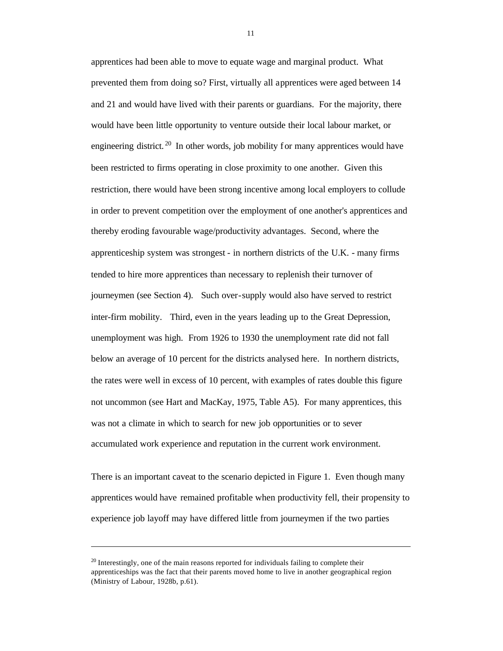apprentices had been able to move to equate wage and marginal product. What prevented them from doing so? First, virtually all apprentices were aged between 14 and 21 and would have lived with their parents or guardians. For the majority, there would have been little opportunity to venture outside their local labour market, or engineering district.<sup>20</sup> In other words, job mobility for many apprentices would have been restricted to firms operating in close proximity to one another. Given this restriction, there would have been strong incentive among local employers to collude in order to prevent competition over the employment of one another's apprentices and thereby eroding favourable wage/productivity advantages. Second, where the apprenticeship system was strongest - in northern districts of the U.K. - many firms tended to hire more apprentices than necessary to replenish their turnover of journeymen (see Section 4). Such over-supply would also have served to restrict inter-firm mobility. Third, even in the years leading up to the Great Depression, unemployment was high. From 1926 to 1930 the unemployment rate did not fall below an average of 10 percent for the districts analysed here. In northern districts, the rates were well in excess of 10 percent, with examples of rates double this figure not uncommon (see Hart and MacKay, 1975, Table A5). For many apprentices, this was not a climate in which to search for new job opportunities or to sever accumulated work experience and reputation in the current work environment.

There is an important caveat to the scenario depicted in Figure 1. Even though many apprentices would have remained profitable when productivity fell, their propensity to experience job layoff may have differed little from journeymen if the two parties

l

 $20$  Interestingly, one of the main reasons reported for individuals failing to complete their apprenticeships was the fact that their parents moved home to live in another geographical region (Ministry of Labour, 1928b, p.61).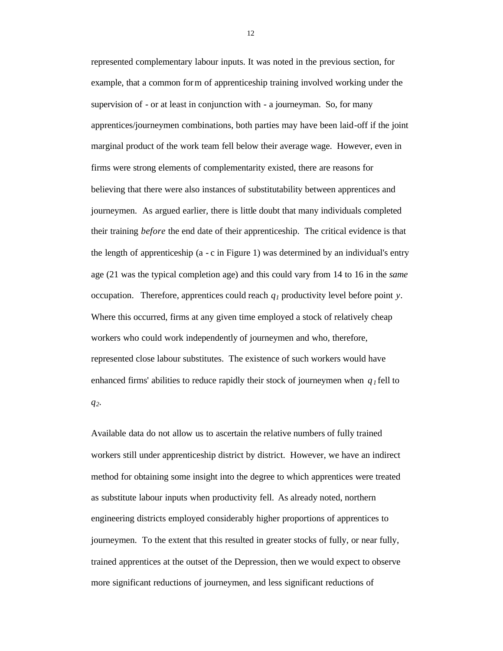represented complementary labour inputs. It was noted in the previous section, for example, that a common form of apprenticeship training involved working under the supervision of - or at least in conjunction with - a journeyman. So, for many apprentices/journeymen combinations, both parties may have been laid-off if the joint marginal product of the work team fell below their average wage. However, even in firms were strong elements of complementarity existed, there are reasons for believing that there were also instances of substitutability between apprentices and journeymen. As argued earlier, there is little doubt that many individuals completed their training *before* the end date of their apprenticeship. The critical evidence is that the length of apprenticeship (a - c in Figure 1) was determined by an individual's entry age (21 was the typical completion age) and this could vary from 14 to 16 in the *same* occupation. Therefore, apprentices could reach *q1* productivity level before point *y*. Where this occurred, firms at any given time employed a stock of relatively cheap workers who could work independently of journeymen and who, therefore, represented close labour substitutes. The existence of such workers would have enhanced firms' abilities to reduce rapidly their stock of journeymen when  $q_l$  fell to *q2*.

Available data do not allow us to ascertain the relative numbers of fully trained workers still under apprenticeship district by district. However, we have an indirect method for obtaining some insight into the degree to which apprentices were treated as substitute labour inputs when productivity fell. As already noted, northern engineering districts employed considerably higher proportions of apprentices to journeymen. To the extent that this resulted in greater stocks of fully, or near fully, trained apprentices at the outset of the Depression, then we would expect to observe more significant reductions of journeymen, and less significant reductions of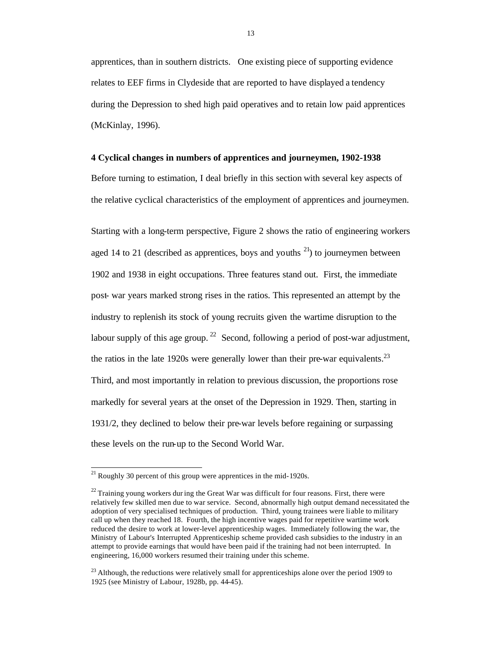apprentices, than in southern districts. One existing piece of supporting evidence relates to EEF firms in Clydeside that are reported to have displayed a tendency during the Depression to shed high paid operatives and to retain low paid apprentices (McKinlay, 1996).

### **4 Cyclical changes in numbers of apprentices and journeymen, 1902-1938**

Before turning to estimation, I deal briefly in this section with several key aspects of the relative cyclical characteristics of the employment of apprentices and journeymen.

Starting with a long-term perspective, Figure 2 shows the ratio of engineering workers aged 14 to 21 (described as apprentices, boys and youths  $^{21}$ ) to journeymen between 1902 and 1938 in eight occupations. Three features stand out. First, the immediate post- war years marked strong rises in the ratios. This represented an attempt by the industry to replenish its stock of young recruits given the wartime disruption to the labour supply of this age group. <sup>22</sup> Second, following a period of post-war adjustment, the ratios in the late 1920s were generally lower than their pre-war equivalents.<sup>23</sup> Third, and most importantly in relation to previous discussion, the proportions rose markedly for several years at the onset of the Depression in 1929. Then, starting in 1931/2, they declined to below their pre-war levels before regaining or surpassing these levels on the run-up to the Second World War.

l

 $^{21}$  Roughly 30 percent of this group were apprentices in the mid-1920s.

 $22$  Training young workers during the Great War was difficult for four reasons. First, there were relatively few skilled men due to war service. Second, abnormally high output demand necessitated the adoption of very specialised techniques of production. Third, young trainees were liable to military call up when they reached 18. Fourth, the high incentive wages paid for repetitive wartime work reduced the desire to work at lower-level apprenticeship wages. Immediately following the war, the Ministry of Labour's Interrupted Apprenticeship scheme provided cash subsidies to the industry in an attempt to provide earnings that would have been paid if the training had not been interrupted. In engineering, 16,000 workers resumed their training under this scheme.

 $^{23}$  Although, the reductions were relatively small for apprenticeships alone over the period 1909 to 1925 (see Ministry of Labour, 1928b, pp. 44-45).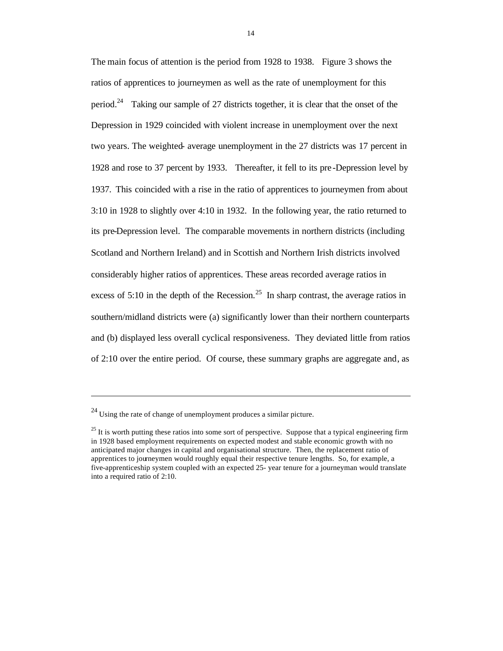The main focus of attention is the period from 1928 to 1938. Figure 3 shows the ratios of apprentices to journeymen as well as the rate of unemployment for this period.<sup>24</sup> Taking our sample of 27 districts together, it is clear that the onset of the Depression in 1929 coincided with violent increase in unemployment over the next two years. The weighted- average unemployment in the 27 districts was 17 percent in 1928 and rose to 37 percent by 1933. Thereafter, it fell to its pre -Depression level by 1937. This coincided with a rise in the ratio of apprentices to journeymen from about 3:10 in 1928 to slightly over 4:10 in 1932. In the following year, the ratio returned to its pre-Depression level. The comparable movements in northern districts (including Scotland and Northern Ireland) and in Scottish and Northern Irish districts involved considerably higher ratios of apprentices. These areas recorded average ratios in excess of 5:10 in the depth of the Recession.<sup>25</sup> In sharp contrast, the average ratios in southern/midland districts were (a) significantly lower than their northern counterparts and (b) displayed less overall cyclical responsiveness. They deviated little from ratios of 2:10 over the entire period. Of course, these summary graphs are aggregate and, as

l

 $^{24}$  Using the rate of change of unemployment produces a similar picture.

 $25$  It is worth putting these ratios into some sort of perspective. Suppose that a typical engineering firm in 1928 based employment requirements on expected modest and stable economic growth with no anticipated major changes in capital and organisational structure. Then, the replacement ratio of apprentices to journeymen would roughly equal their respective tenure lengths. So, for example, a five-apprenticeship system coupled with an expected 25- year tenure for a journeyman would translate into a required ratio of 2:10.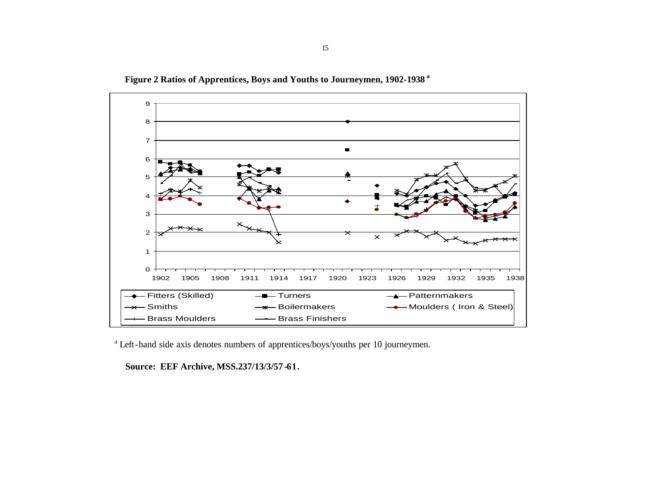

 **Figure 2 Ratios of Apprentices, Boys and Youths to Journeymen, 1902-1938<sup>a</sup>**

<sup>a</sup> Left-hand side axis denotes numbers of apprentices/boys/youths per 10 journeymen.

 **Source: EEF Archive, MSS.237/13/3/57 -61.**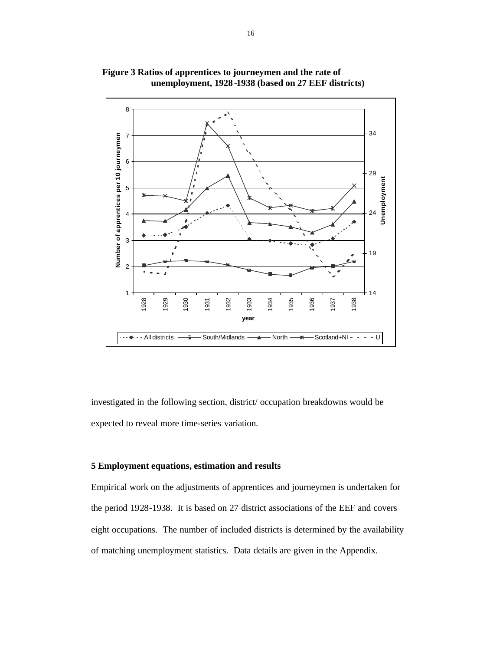

 **Figure 3 Ratios of apprentices to journeymen and the rate of unemployment, 1928 -1938 (based on 27 EEF districts)**

investigated in the following section, district/ occupation breakdowns would be expected to reveal more time-series variation.

### **5 Employment equations, estimation and results**

Empirical work on the adjustments of apprentices and journeymen is undertaken for the period 1928-1938. It is based on 27 district associations of the EEF and covers eight occupations. The number of included districts is determined by the availability of matching unemployment statistics. Data details are given in the Appendix.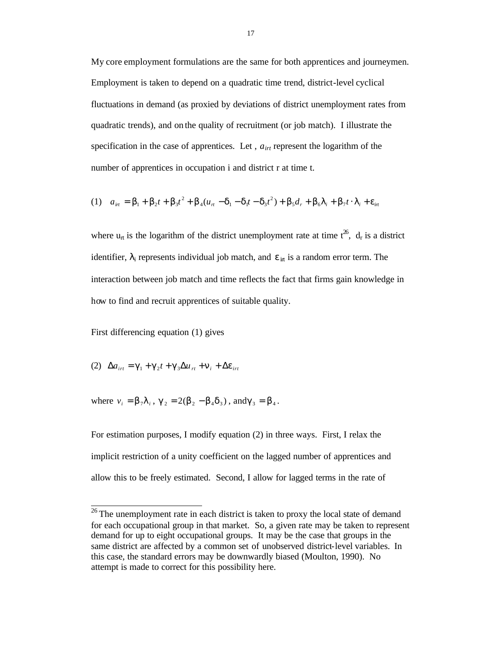My core employment formulations are the same for both apprentices and journeymen. Employment is taken to depend on a quadratic time trend, district-level cyclical fluctuations in demand (as proxied by deviations of district unemployment rates from quadratic trends), and on the quality of recruitment (or job match). I illustrate the specification in the case of apprentices. Let , *airt* represent the logarithm of the number of apprentices in occupation i and district r at time t.

(1) 
$$
a_{in} = b_1 + b_2t + b_3t^2 + b_4(u_n - d_1 - d_1t - d_3t^2) + b_5d_r + b_6I_i + b_7t \cdot I_i + e_{in}
$$

where  $u_{rt}$  is the logarithm of the district unemployment rate at time  $t^{26}$ ,  $d_r$  is a district identifier,  $\lambda_i$  represents individual job match, and  $\epsilon_{i\tau}$  is a random error term. The interaction between job match and time reflects the fact that firms gain knowledge in how to find and recruit apprentices of suitable quality.

First differencing equation (1) gives

(2) 
$$
\Delta a_{irt} = \boldsymbol{g}_1 + \boldsymbol{g}_2 t + \boldsymbol{g}_3 \Delta u_{rt} + \boldsymbol{n}_i + \Delta \boldsymbol{e}_{irt}
$$

where  $v_i = b_7 l_i$ ,  $g_2 = 2(b_2 - b_4 d_3)$ , and  $g_3 = b_4$ .

For estimation purposes, I modify equation (2) in three ways. First, I relax the implicit restriction of a unity coefficient on the lagged number of apprentices and allow this to be freely estimated. Second, I allow for lagged terms in the rate of

 $\frac{26}{10}$  The unemployment rate in each district is taken to proxy the local state of demand for each occupational group in that market. So, a given rate may be taken to represent demand for up to eight occupational groups. It may be the case that groups in the same district are affected by a common set of unobserved district-level variables. In this case, the standard errors may be downwardly biased (Moulton, 1990). No attempt is made to correct for this possibility here.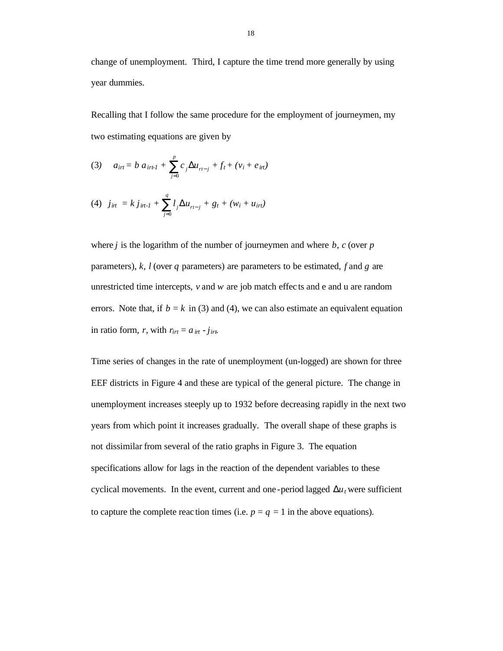change of unemployment. Third, I capture the time trend more generally by using year dummies.

Recalling that I follow the same procedure for the employment of journeymen, my two estimating equations are given by

(3) 
$$
a_{irt} = b a_{irt1} + \sum_{j=0}^{p} c_j \Delta u_{rt-j} + f_t + (v_i + e_{irt})
$$

(4) 
$$
j_{\text{int}} = k j_{\text{int-1}} + \sum_{j=0}^{q} l_j \Delta u_{\text{rt-j}} + g_t + (w_i + u_{\text{int}})
$$

where *j* is the logarithm of the number of journeymen and where *b, c* (over *p* parameters), *k, l* (over *q* parameters) are parameters to be estimated, *f* and *g* are unrestricted time intercepts, *v* and *w* are job match effec ts and e and u are random errors. Note that, if  $b = k$  in (3) and (4), we can also estimate an equivalent equation in ratio form, *r*, with  $r_{irt} = a_{irt} - j_{itr}$ .

Time series of changes in the rate of unemployment (un-logged) are shown for three EEF districts in Figure 4 and these are typical of the general picture. The change in unemployment increases steeply up to 1932 before decreasing rapidly in the next two years from which point it increases gradually. The overall shape of these graphs is not dissimilar from several of the ratio graphs in Figure 3. The equation specifications allow for lags in the reaction of the dependent variables to these cyclical movements. In the event, current and one-period lagged  $\mathbf{D}u_t$  were sufficient to capture the complete reaction times (i.e.  $p = q = 1$  in the above equations).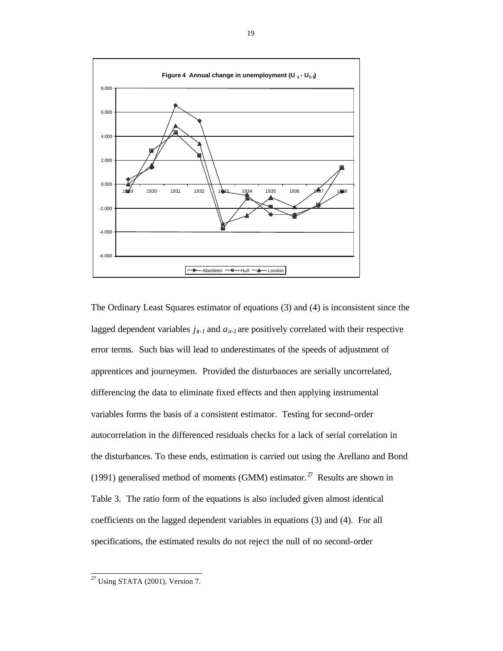

The Ordinary Least Squares estimator of equations (3) and (4) is inconsistent since the lagged dependent variables  $j_{it-1}$  and  $a_{it-1}$  are positively correlated with their respective error terms. Such bias will lead to underestimates of the speeds of adjustment of apprentices and journeymen. Provided the disturbances are serially uncorrelated, differencing the data to eliminate fixed effects and then applying instrumental variables forms the basis of a consistent estimator. Testing for second-order autocorrelation in the differenced residuals checks for a lack of serial correlation in the disturbances. To these ends, estimation is carried out using the Arellano and Bond (1991) generalised method of moments (GMM) estimator.<sup>27</sup> Results are shown in Table 3. The ratio form of the equations is also included given almost identical coefficients on the lagged dependent variables in equations (3) and (4). For all specifications, the estimated results do not reject the null of no second-order

l

 $^{27}$  Using STATA (2001), Version 7.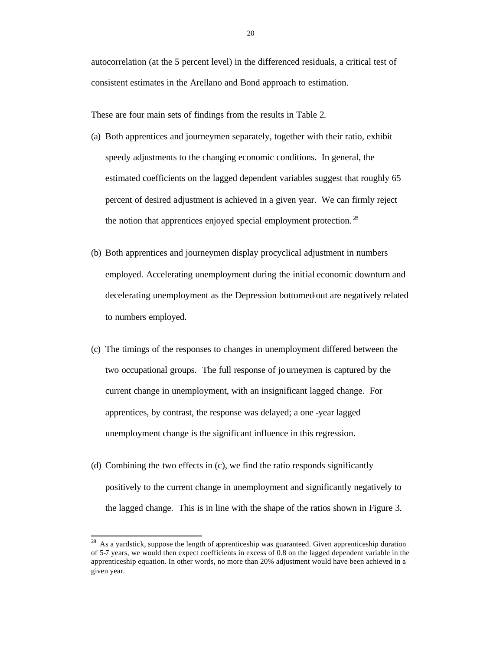autocorrelation (at the 5 percent level) in the differenced residuals, a critical test of consistent estimates in the Arellano and Bond approach to estimation.

These are four main sets of findings from the results in Table 2.

- (a) Both apprentices and journeymen separately, together with their ratio, exhibit speedy adjustments to the changing economic conditions. In general, the estimated coefficients on the lagged dependent variables suggest that roughly 65 percent of desired adjustment is achieved in a given year. We can firmly reject the notion that apprentices enjoyed special employment protection.<sup>28</sup>
- (b) Both apprentices and journeymen display procyclical adjustment in numbers employed. Accelerating unemployment during the initial economic downturn and decelerating unemployment as the Depression bottomed-out are negatively related to numbers employed.
- (c) The timings of the responses to changes in unemployment differed between the two occupational groups. The full response of journeymen is captured by the current change in unemployment, with an insignificant lagged change. For apprentices, by contrast, the response was delayed; a one -year lagged unemployment change is the significant influence in this regression.
- (d) Combining the two effects in (c), we find the ratio responds significantly positively to the current change in unemployment and significantly negatively to the lagged change. This is in line with the shape of the ratios shown in Figure 3.

 $28\,$ As a vardstick, suppose the length of apprenticeship was guaranteed. Given apprenticeship duration of 5-7 years, we would then expect coefficients in excess of 0.8 on the lagged dependent variable in the apprenticeship equation. In other words, no more than 20% adjustment would have been achieved in a given year.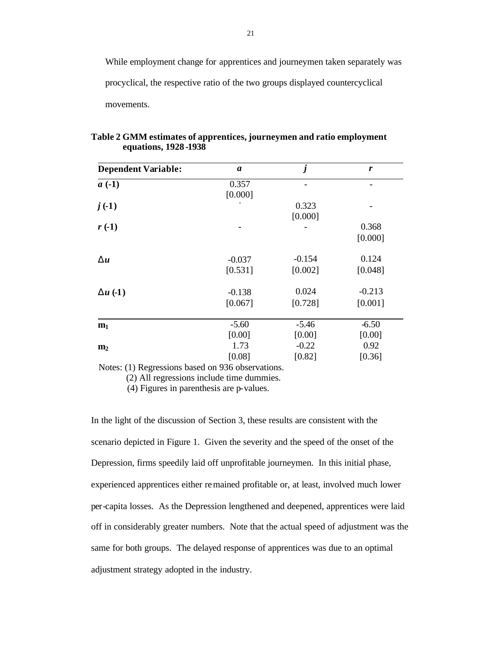While employment change for apprentices and journeymen taken separately was procyclical, the respective ratio of the two groups displayed countercyclical movements.

| <b>Dependent Variable:</b> | $\boldsymbol{a}$ | $\boldsymbol{j}$ | $\boldsymbol{r}$ |
|----------------------------|------------------|------------------|------------------|
| $a(-1)$                    | 0.357            |                  |                  |
|                            | [0.000]          |                  |                  |
| $j( -1)$                   |                  | 0.323            |                  |
|                            |                  | [0.000]          |                  |
| $r( -1)$                   |                  |                  | 0.368            |
|                            |                  |                  | [0.000]          |
| $\mathbf{D}u$              | $-0.037$         | $-0.154$         | 0.124            |
|                            | [0.531]          | [0.002]          | [0.048]          |
| Du $(-1)$                  | $-0.138$         | 0.024            | $-0.213$         |
|                            | [0.067]          | [0.728]          | [0.001]          |
| m <sub>1</sub>             | $-5.60$          | $-5.46$          | $-6.50$          |
|                            | [0.00]           | [0.00]           | [0.00]           |
| m <sub>2</sub>             | 1.73             | $-0.22$          | 0.92             |
|                            | [0.08]           | [0.82]           | [0.36]           |

**Table 2 GMM estimates of apprentices, journeymen and ratio employment equations, 1928 -1938**

Notes: (1) Regressions based on 936 observations.

(2) All regressions include time dummies.

(4) Figures in parenthesis are p-values.

In the light of the discussion of Section 3, these results are consistent with the scenario depicted in Figure 1. Given the severity and the speed of the onset of the Depression, firms speedily laid off unprofitable journeymen. In this initial phase, experienced apprentices either remained profitable or, at least, involved much lower per-capita losses. As the Depression lengthened and deepened, apprentices were laid off in considerably greater numbers. Note that the actual speed of adjustment was the same for both groups. The delayed response of apprentices was due to an optimal adjustment strategy adopted in the industry.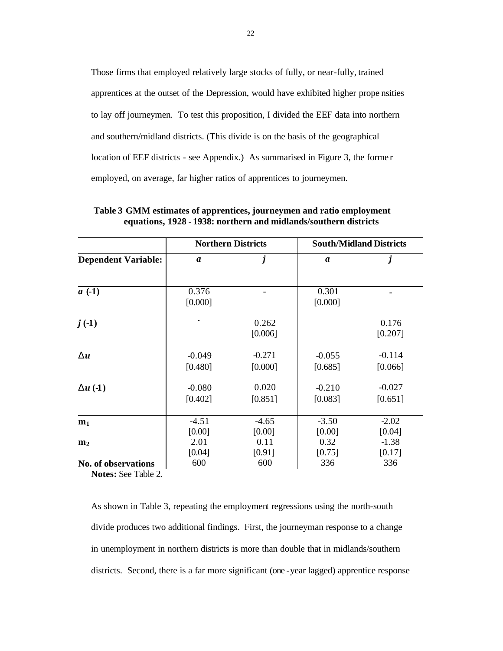Those firms that employed relatively large stocks of fully, or near-fully, trained apprentices at the outset of the Depression, would have exhibited higher prope nsities to lay off journeymen. To test this proposition, I divided the EEF data into northern and southern/midland districts. (This divide is on the basis of the geographical location of EEF districts - see Appendix.) As summarised in Figure 3, the forme r employed, on average, far higher ratios of apprentices to journeymen.

|                            |                     | <b>Northern Districts</b> | <b>South/Midland Districts</b> |                     |  |
|----------------------------|---------------------|---------------------------|--------------------------------|---------------------|--|
| <b>Dependent Variable:</b> | $\boldsymbol{a}$    | $\boldsymbol{j}$          | $\boldsymbol{a}$               | $\boldsymbol{j}$    |  |
| $a(-1)$                    | 0.376<br>[0.000]    |                           | 0.301<br>[0.000]               |                     |  |
| $j( -1)$                   |                     | 0.262<br>[0.006]          |                                | 0.176<br>[0.207]    |  |
| $\mathbf{D}u$              | $-0.049$<br>[0.480] | $-0.271$<br>[0.000]       | $-0.055$<br>[0.685]            | $-0.114$<br>[0.066] |  |
| $\mathbf{D}u(1)$           | $-0.080$<br>[0.402] | 0.020<br>[0.851]          | $-0.210$<br>[0.083]            | $-0.027$<br>[0.651] |  |
| m <sub>1</sub>             | $-4.51$<br>[0.00]   | $-4.65$<br>[0.00]         | $-3.50$<br>[0.00]              | $-2.02$<br>[0.04]   |  |
| m <sub>2</sub>             | 2.01<br>[0.04]      | 0.11<br>[0.91]            | 0.32<br>[0.75]                 | $-1.38$<br>[0.17]   |  |
| No. of observations        | 600                 | 600                       | 336                            | 336                 |  |

**Table 3 GMM estimates of apprentices, journeymen and ratio employment equations, 1928 - 1938: northern and midlands/southern districts**

**Notes:** See Table 2.

As shown in Table 3, repeating the employment regressions using the north-south divide produces two additional findings. First, the journeyman response to a change in unemployment in northern districts is more than double that in midlands/southern districts. Second, there is a far more significant (one -year lagged) apprentice response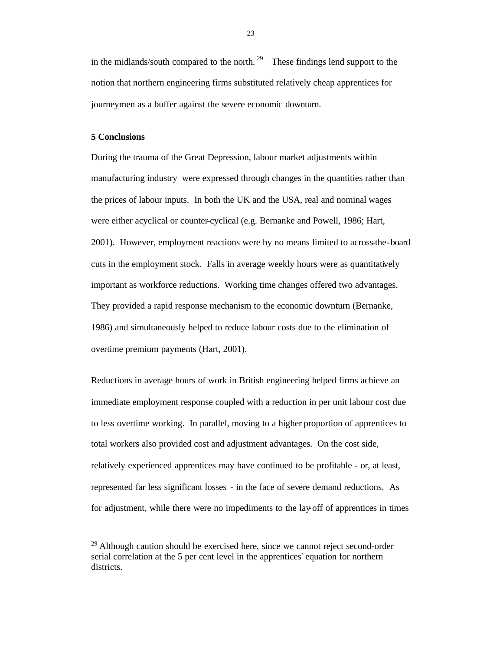in the midlands/south compared to the north. <sup>29</sup> These findings lend support to the notion that northern engineering firms substituted relatively cheap apprentices for journeymen as a buffer against the severe economic downturn.

### **5 Conclusions**

During the trauma of the Great Depression, labour market adjustments within manufacturing industry were expressed through changes in the quantities rather than the prices of labour inputs. In both the UK and the USA, real and nominal wages were either acyclical or counter-cyclical (e.g. Bernanke and Powell, 1986; Hart, 2001). However, employment reactions were by no means limited to across-the-board cuts in the employment stock. Falls in average weekly hours were as quantitatively important as workforce reductions. Working time changes offered two advantages. They provided a rapid response mechanism to the economic downturn (Bernanke, 1986) and simultaneously helped to reduce labour costs due to the elimination of overtime premium payments (Hart, 2001).

Reductions in average hours of work in British engineering helped firms achieve an immediate employment response coupled with a reduction in per unit labour cost due to less overtime working. In parallel, moving to a higher proportion of apprentices to total workers also provided cost and adjustment advantages. On the cost side, relatively experienced apprentices may have continued to be profitable - or, at least, represented far less significant losses - in the face of severe demand reductions. As for adjustment, while there were no impediments to the lay-off of apprentices in times

 $29$  Although caution should be exercised here, since we cannot reject second-order serial correlation at the 5 per cent level in the apprentices' equation for northern districts.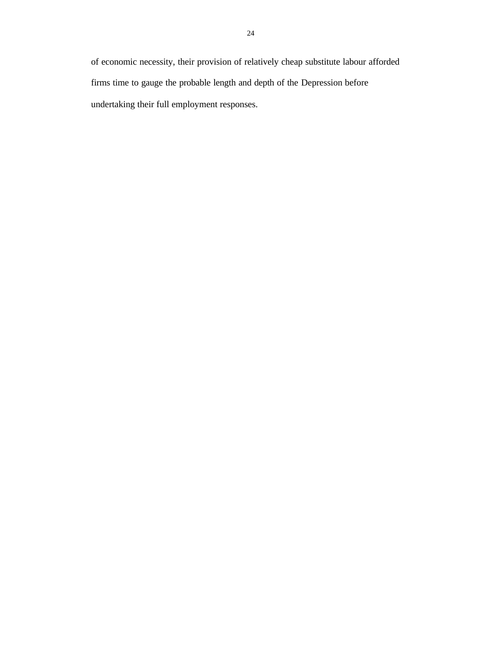of economic necessity, their provision of relatively cheap substitute labour afforded firms time to gauge the probable length and depth of the Depression before undertaking their full employment responses.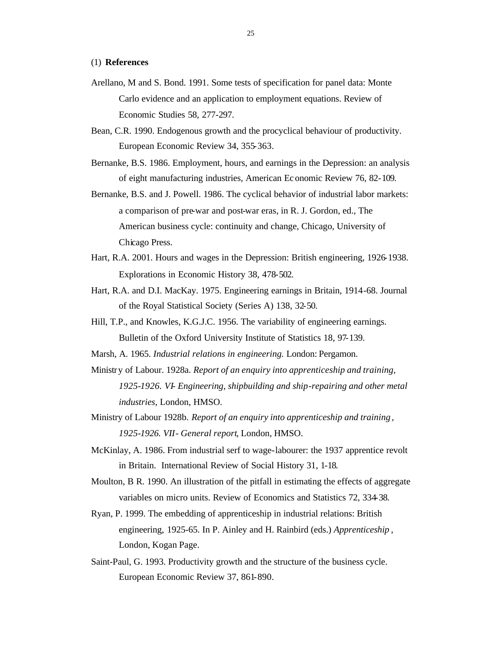#### (1) **References**

- Arellano, M and S. Bond. 1991. Some tests of specification for panel data: Monte Carlo evidence and an application to employment equations. Review of Economic Studies 58, 277-297.
- Bean, C.R. 1990. Endogenous growth and the procyclical behaviour of productivity. European Economic Review 34, 355-363.
- Bernanke, B.S. 1986. Employment, hours, and earnings in the Depression: an analysis of eight manufacturing industries, American Ec onomic Review 76, 82-109.
- Bernanke, B.S. and J. Powell. 1986. The cyclical behavior of industrial labor markets: a comparison of pre-war and post-war eras, in R. J. Gordon, ed., The American business cycle: continuity and change, Chicago, University of Chicago Press.
- Hart, R.A. 2001. Hours and wages in the Depression: British engineering, 1926-1938. Explorations in Economic History 38, 478-502.
- Hart, R.A. and D.I. MacKay. 1975. Engineering earnings in Britain, 1914-68. Journal of the Royal Statistical Society (Series A) 138, 32-50.
- Hill, T.P., and Knowles, K.G.J.C. 1956. The variability of engineering earnings. Bulletin of the Oxford University Institute of Statistics 18, 97-139.
- Marsh, A. 1965. *Industrial relations in engineering.* London: Pergamon.
- Ministry of Labour. 1928a. *Report of an enquiry into apprenticeship and training, 1925-1926. VI- Engineering, shipbuilding and ship-repairing and other metal industries*, London, HMSO.
- Ministry of Labour 1928b. *Report of an enquiry into apprenticeship and training , 1925-1926. VII- General report*, London, HMSO.
- McKinlay, A. 1986. From industrial serf to wage-labourer: the 1937 apprentice revolt in Britain. International Review of Social History 31, 1-18.
- Moulton, B R. 1990. An illustration of the pitfall in estimating the effects of aggregate variables on micro units. Review of Economics and Statistics 72, 334-38.
- Ryan, P. 1999. The embedding of apprenticeship in industrial relations: British engineering, 1925-65. In P. Ainley and H. Rainbird (eds.) *Apprenticeship* , London, Kogan Page.
- Saint-Paul, G. 1993. Productivity growth and the structure of the business cycle. European Economic Review 37, 861-890.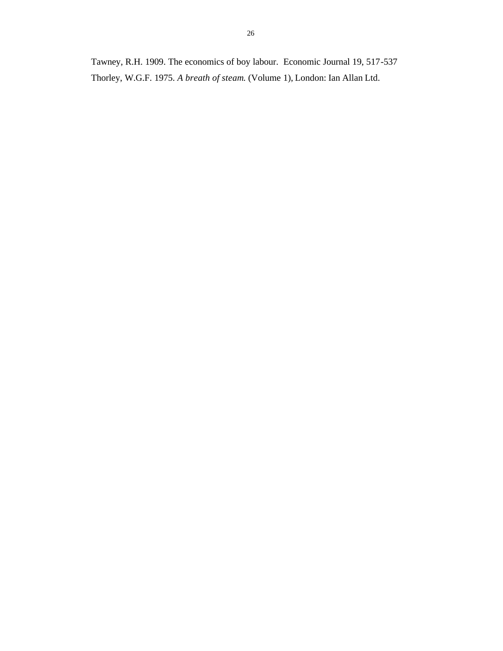Tawney, R.H. 1909. The economics of boy labour. Economic Journal 19, 517-537 Thorley, W.G.F. 1975. *A breath of steam.* (Volume 1), London: Ian Allan Ltd.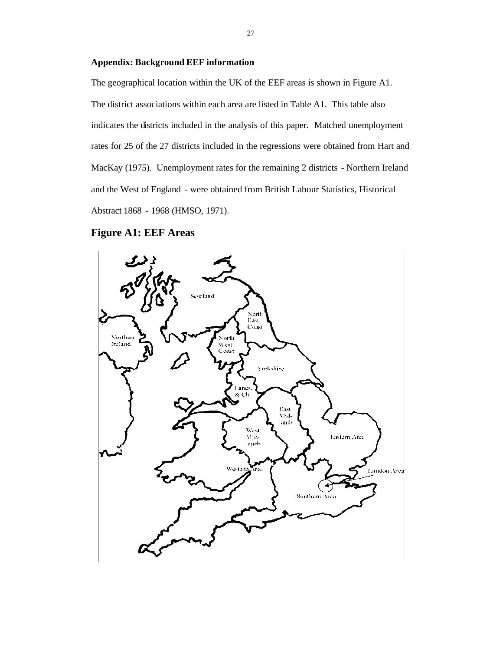### **Appendix: Background EEF information**

The geographical location within the UK of the EEF areas is shown in Figure A1. The district associations within each area are listed in Table A1. This table also indicates the districts included in the analysis of this paper. Matched unemployment rates for 25 of the 27 districts included in the regressions were obtained from Hart and MacKay (1975). Unemployment rates for the remaining 2 districts - Northern Ireland and the West of England - were obtained from British Labour Statistics, Historical Abstract 1868 - 1968 (HMSO, 1971).

### **Figure A1: EEF Areas**

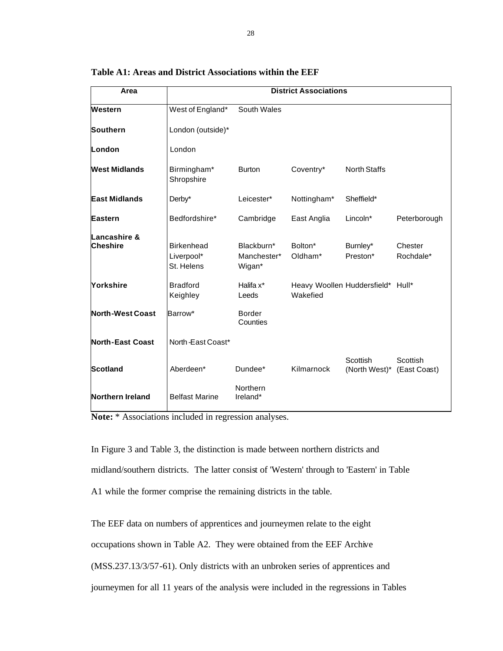| Area                            | <b>District Associations</b>                  |                                     |                                               |                           |                          |  |
|---------------------------------|-----------------------------------------------|-------------------------------------|-----------------------------------------------|---------------------------|--------------------------|--|
| Western                         | West of England*                              | South Wales                         |                                               |                           |                          |  |
| <b>Southern</b>                 | London (outside)*                             |                                     |                                               |                           |                          |  |
| London                          | London                                        |                                     |                                               |                           |                          |  |
| <b>West Midlands</b>            | Birmingham*<br>Shropshire                     | <b>Burton</b>                       | Coventry*                                     | <b>North Staffs</b>       |                          |  |
| <b>East Midlands</b>            | Derby*                                        | Leicester*                          | Nottingham*                                   | Sheffield*                |                          |  |
| Eastern                         | Bedfordshire*                                 | Cambridge                           | East Anglia                                   | Lincoln*                  | Peterborough             |  |
| Lancashire &<br><b>Cheshire</b> | <b>Birkenhead</b><br>Liverpool*<br>St. Helens | Blackburn*<br>Manchester*<br>Wigan* | Bolton*<br>Oldham*                            | Burnley*<br>Preston*      | Chester<br>Rochdale*     |  |
| Yorkshire                       | <b>Bradford</b><br>Keighley                   | Halifa x <sup>*</sup><br>Leeds      | Heavy Woollen Huddersfield* Hull*<br>Wakefied |                           |                          |  |
| <b>North-West Coast</b>         | Barrow*                                       | <b>Border</b><br>Counties           |                                               |                           |                          |  |
| <b>North-East Coast</b>         | North-East Coast*                             |                                     |                                               |                           |                          |  |
| <b>Scotland</b>                 | Aberdeen*                                     | Dundee*                             | Kilmarnock                                    | Scottish<br>(North West)* | Scottish<br>(East Coast) |  |
| Northern Ireland                | <b>Belfast Marine</b>                         | Northern<br>Ireland*                |                                               |                           |                          |  |

**Table A1: Areas and District Associations within the EEF**

**Note:** \* Associations included in regression analyses.

In Figure 3 and Table 3, the distinction is made between northern districts and midland/southern districts. The latter consist of 'Western' through to 'Eastern' in Table A1 while the former comprise the remaining districts in the table.

The EEF data on numbers of apprentices and journeymen relate to the eight occupations shown in Table A2. They were obtained from the EEF Archive (MSS.237.13/3/57-61). Only districts with an unbroken series of apprentices and journeymen for all 11 years of the analysis were included in the regressions in Tables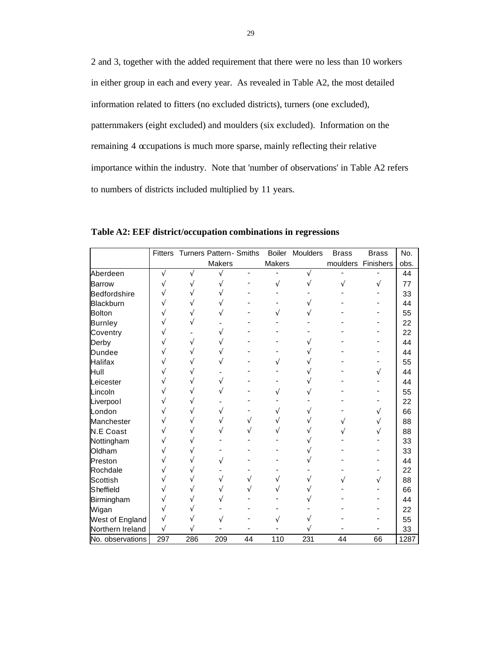2 and 3, together with the added requirement that there were no less than 10 workers in either group in each and every year. As revealed in Table A2, the most detailed information related to fitters (no excluded districts), turners (one excluded), patternmakers (eight excluded) and moulders (six excluded). Information on the remaining 4 occupations is much more sparse, mainly reflecting their relative importance within the industry. Note that 'number of observations' in Table A2 refers to numbers of districts included multiplied by 11 years.

|                  | <b>Fitters</b> |     | <b>Turners Pattern- Smiths</b> |    | <b>Boiler</b> | Moulders | <b>Brass</b> | <b>Brass</b> | No.  |
|------------------|----------------|-----|--------------------------------|----|---------------|----------|--------------|--------------|------|
|                  |                |     | <b>Makers</b>                  |    | Makers        |          | moulders     | Finishers    | obs. |
| Aberdeen         |                |     |                                |    |               |          |              |              | 44   |
| <b>Barrow</b>    |                |     |                                |    |               |          |              |              | 77   |
| Bedfordshire     |                |     |                                |    |               |          |              |              | 33   |
| Blackburn        |                |     |                                |    |               |          |              |              | 44   |
| <b>Bolton</b>    |                |     |                                |    |               |          |              |              | 55   |
| <b>Burnley</b>   |                |     |                                |    |               |          |              |              | 22   |
| Coventry         |                |     |                                |    |               |          |              |              | 22   |
| Derby            |                |     |                                |    |               |          |              |              | 44   |
| <b>Dundee</b>    |                |     |                                |    |               |          |              |              | 44   |
| <b>Halifax</b>   |                |     |                                |    |               |          |              |              | 55   |
| Hull             |                |     |                                |    |               |          |              |              | 44   |
| Leicester        |                |     |                                |    |               |          |              |              | 44   |
| Lincoln          |                |     |                                |    |               |          |              |              | 55   |
| Liverpool        |                |     |                                |    |               |          |              |              | 22   |
| London           |                |     |                                |    |               |          |              |              | 66   |
| Manchester       |                |     |                                |    |               |          |              |              | 88   |
| <b>N.E Coast</b> |                |     |                                |    |               |          |              |              | 88   |
| Nottingham       |                |     |                                |    |               |          |              |              | 33   |
| Oldham           |                |     |                                |    |               |          |              |              | 33   |
| Preston          |                |     |                                |    |               |          |              |              | 44   |
| Rochdale         |                |     |                                |    |               |          |              |              | 22   |
| Scottish         |                |     |                                |    |               |          |              |              | 88   |
| Sheffield        |                |     |                                |    |               |          |              |              | 66   |
| Birmingham       |                |     |                                |    |               |          |              |              | 44   |
| Wigan            |                |     |                                |    |               |          |              |              | 22   |
| West of England  |                |     |                                |    |               |          |              |              | 55   |
| Northern Ireland |                |     |                                |    |               |          |              |              | 33   |
| No. observations | 297            | 286 | 209                            | 44 | 110           | 231      | 44           | 66           | 1287 |

**Table A2: EEF district/occupation combinations in regressions**